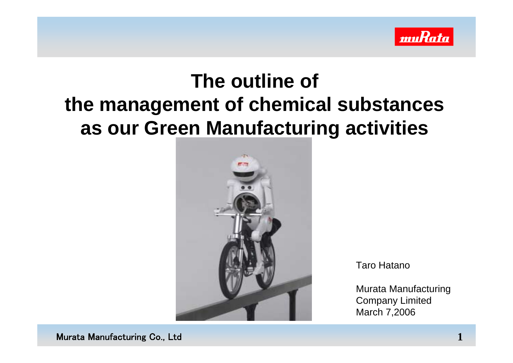

## **The outline of the management of chemical substances as our Green Manufacturing activities**



Taro Hatano

Murata Manufacturing Company Limited March 7,2006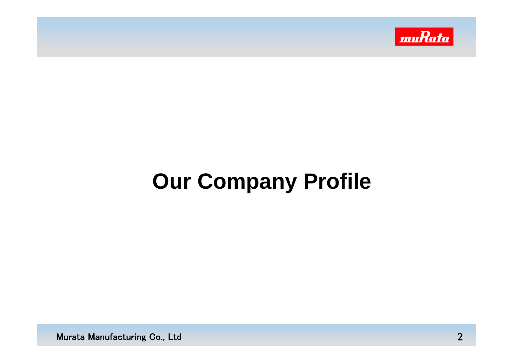

## **Our Company Profile**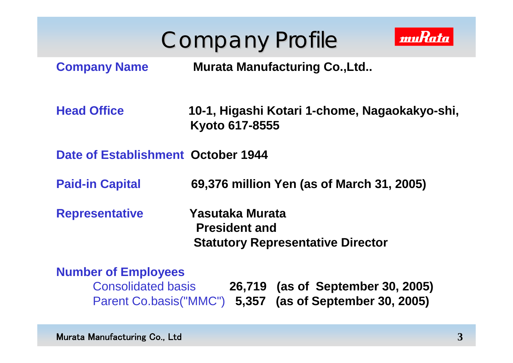



**Company Name Murata Manufacturing Co.,Ltd..**

**Head Office 10-1, Higashi Kotari 1-chome, Nagaokakyo-shi, Kyoto 617-8555** 

**Date of Establishment October 1944**

**Paid-in Capital 69,376 million Yen (as of March 31, 2005)**

**Representative Yasutaka Murata President and Statutory Representative Director**

#### **Number of Employees**

Consolidated basis **26,719 (as of September 30, 2005)** Parent Co.basis("MMC") **5,357 (as of September 30, 2005)**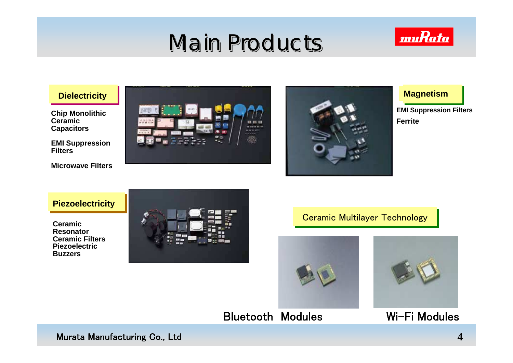## Main Products Main Products Main Products



**Chip Monolithic Ceramic Capacitors**

**EMI Suppression Filters**

**Microwave Filters**

**Piezoelectricity**

**Ceramic Ceramic ResonatorResonator Ceramic Filters Ceramic FiltersPiezoelectricPiezoelectricBuzzersBuzzers**





**Ferrite FerriteEMI Suppression Filters EMI Suppression Filters**

#### **Ceramic Multilayer Technology**





Bluetooth Modules

Wi-Fi Modules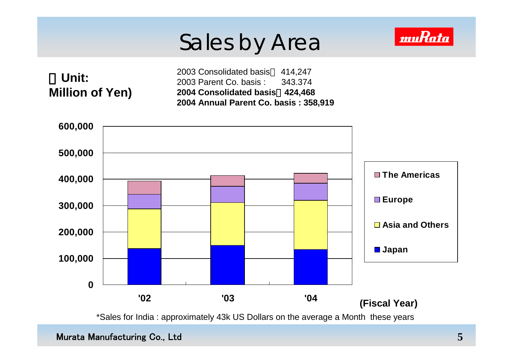## Sales by Area



\*Sales for India : approximately 43k US Dollars on the average a Month these years

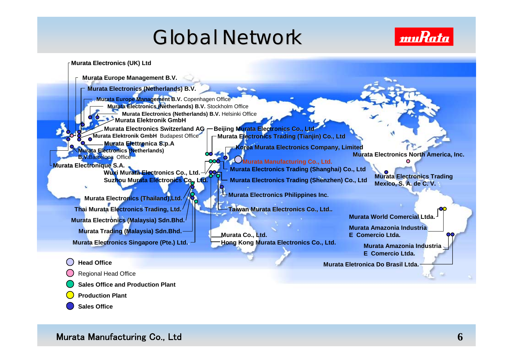## Global Network



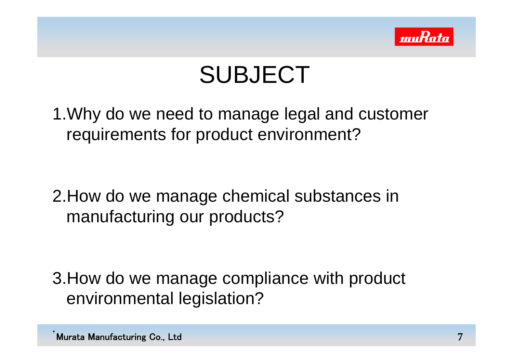

## SUBJECT

1.Why do we need to manage legal and customer requirements for product environment?

2.How do we manage chemical substances in manufacturing our products?

3.How do we manage compliance with product environmental legislation?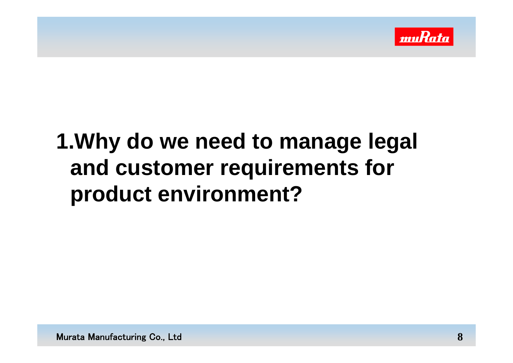

## **1.Why do we need to manage legal and customer requirements for product environment?**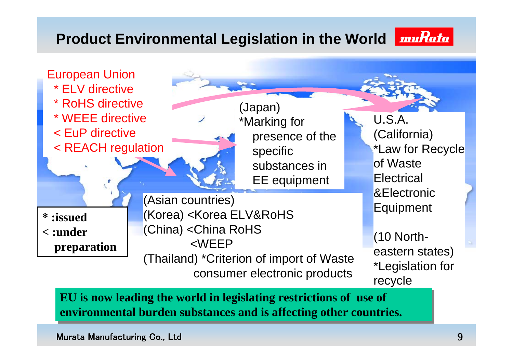### **Product Environmental Legislation in the World**





**EU is now leading the world in legislating restrictions of use of EU is now leading the world in legislating restrictions of use of environmental burden substances and is affecting other countries. environmental burden substances and is affecting other countries.**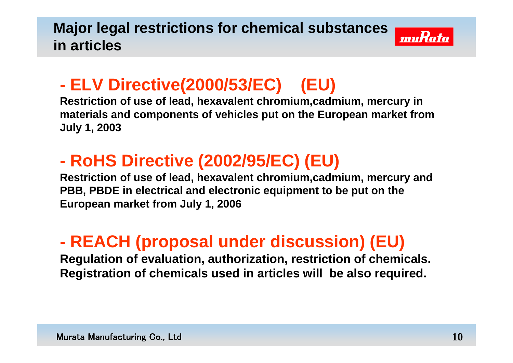### **Major legal restrictions for chemical substances in articles**



## **ELV Directive(2000/53/EC) (EU)**

**Restriction of use of lead, hexavalent chromium,cadmium, mercury in materials and components of vehicles put on the European market from July 1, 2003**

## **RoHS Directive (2002/95/EC) (EU)**

**Restriction of use of lead, hexavalent chromium,cadmium, mercury and PBB, PBDE in electrical and electronic equipment to be put on the European market from July 1, 2006**

## **REACH (proposal under discussion) (EU)**

**Regulation of evaluation, authorization, restriction of chemicals. Registration of chemicals used in articles will be also required.**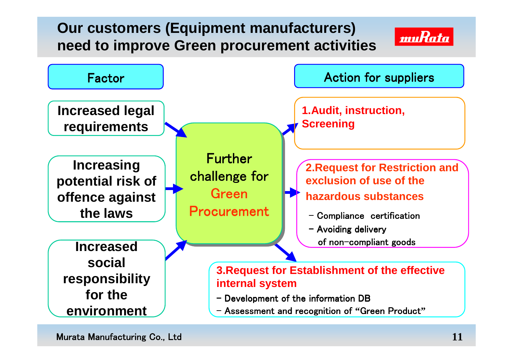### **Our customers (Equipment manufacturers) need to improve Green procurement activities**



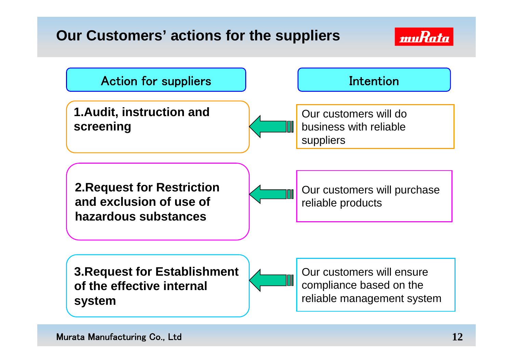### **Our Customers' actions for the suppliers**



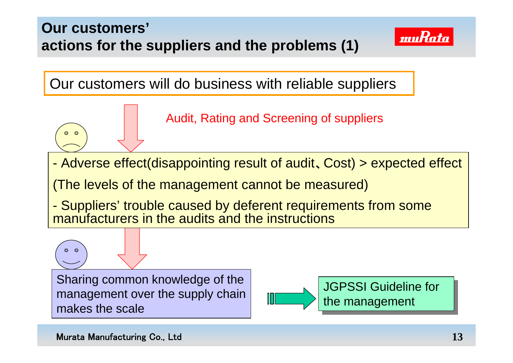### **Our customers' actions for the suppliers and the problems (1)**



muRata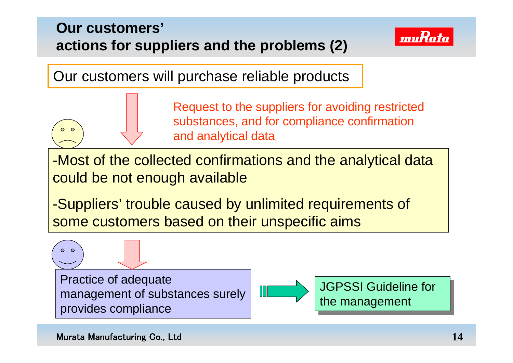### **Our customers' actions for suppliers and the problems (2)**



Our customers will purchase reliable products

Request to the suppliers for avoiding restricted substances, and for compliance confirmation and analytical data

-Most of the collected confirmations and the analytical data could be not enough available

-Suppliers' trouble caused by unlimited requirements of some customers based on their unspecific aims

Practice of adequate management of substances surely provides compliance



JGPSSI Guideline for JGPSSI Guideline for the management

ം

ം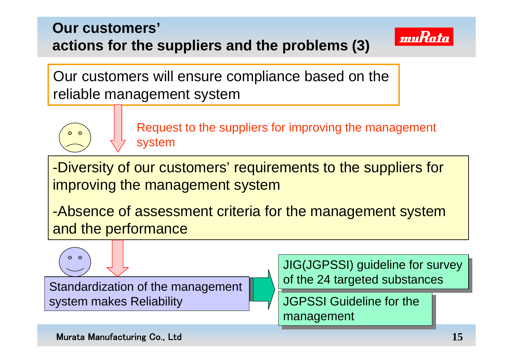### **Our customers' actions for the suppliers and the problems (3)**



Our customers will ensure compliance based on the reliable management system



Request to the suppliers for improving the management system

-Diversity of our customers' requirements to the suppliers for improving the management system

-Absence of assessment criteria for the management system and the performance

Standardization of the management system makes Reliability

JIG(JGPSSI) guideline for survey JIG(JGPSSI) guideline for survey of the 24 targeted substances of the 24 targeted substances

JGPSSI Guideline for the JGPSSI Guideline for the management management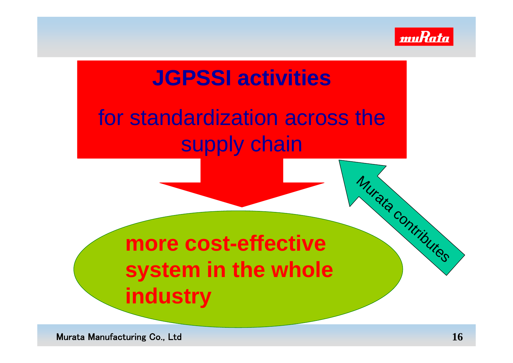

Murata Contributes

## **JGPSSI activities**

## for standardization across the supply chain

## **more cost-effective system in the whole industry**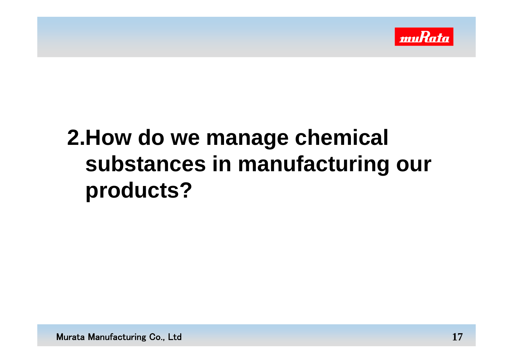

## **2.How do we manage chemical substances in manufacturing our products?**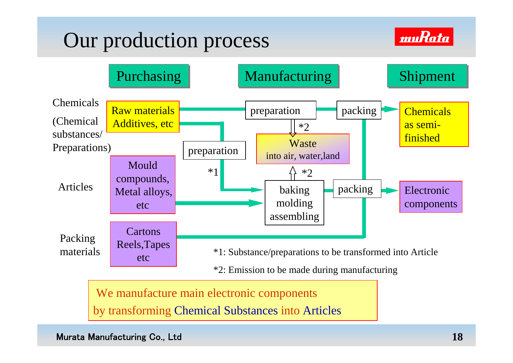## Our production process





We manufacture main electronic components

by transforming Chemical Substances into Articles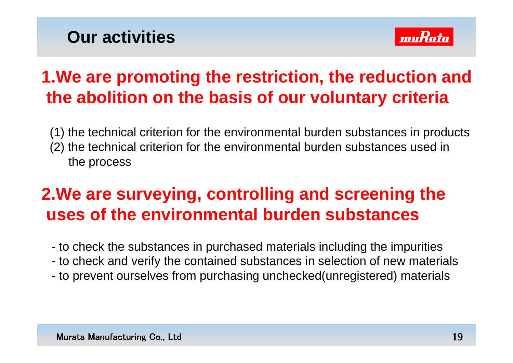## **Our activities**



## **1.We are promoting the restriction, the reduction and the abolition on the basis of our voluntary criteria**

(1) the technical criterion for the environmental burden substances in products (2) the technical criterion for the environmental burden substances used in the process

## **2.We are surveying, controlling and screening the uses of the environmental burden substances**

- to check the substances in purchased materials including the impurities
- to check and verify the contained substances in selection of new materials
- to prevent ourselves from purchasing unchecked(unregistered) materials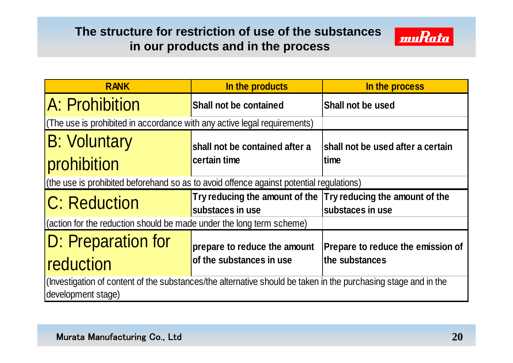### **The structure for restriction of use of the substances in our products and in the process**



| <b>RANK</b>                                                                                                                          | In the products                                                                   | In the process                           |
|--------------------------------------------------------------------------------------------------------------------------------------|-----------------------------------------------------------------------------------|------------------------------------------|
| A: Prohibition                                                                                                                       | Shall not be contained                                                            | <b>Shall not be used</b>                 |
| (The use is prohibited in accordance with any active legal requirements)                                                             |                                                                                   |                                          |
| <b>B: Voluntary</b>                                                                                                                  | shall not be contained after a                                                    | shall not be used after a certain        |
| prohibition                                                                                                                          | certain time                                                                      | time                                     |
| (the use is prohibited beforehand so as to avoid offence against potential regulations)                                              |                                                                                   |                                          |
| C: Reduction                                                                                                                         | Try reducing the amount of the Try reducing the amount of the<br>substaces in use | lsubstaces in use                        |
| (action for the reduction should be made under the long term scheme)                                                                 |                                                                                   |                                          |
| D: Preparation for                                                                                                                   | prepare to reduce the amount                                                      | <b>Prepare to reduce the emission of</b> |
| reduction                                                                                                                            | of the substances in use                                                          | the substances                           |
| (Investigation of content of the substances/the alternative should be taken in the purchasing stage and in the<br>development stage) |                                                                                   |                                          |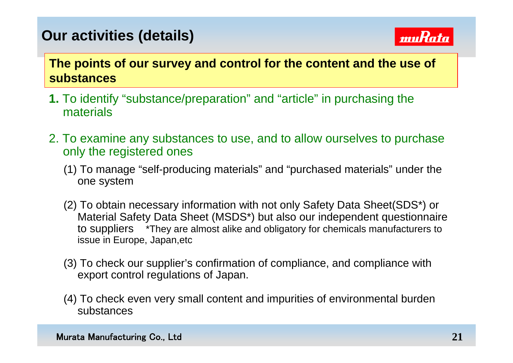### **Our activities (details)**



### **The points of our survey and control for the content and the use of substances**

- **1.** To identify "substance/preparation" and "article" in purchasing the materials
- 2. To examine any substances to use, and to allow ourselves to purchase only the registered ones
	- (1) To manage "self-producing materials" and "purchased materials" under the one system
	- (2) To obtain necessary information with not only Safety Data Sheet(SDS\*) or Material Safety Data Sheet (MSDS\*) but also our independent questionnaire to suppliers \*They are almost alike and obligatory for chemicals manufacturers to issue in Europe, Japan,etc
	- (3) To check our supplier's confirmation of compliance, and compliance with export control regulations of Japan.
	- (4) To check even very small content and impurities of environmental burden substances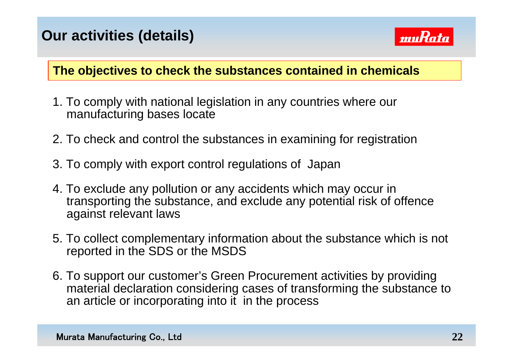### **Our activities (details)**



#### **The objectives to check the substances contained in chemicals**

- 1. To comply with national legislation in any countries where our manufacturing bases locate
- 2. To check and control the substances in examining for registration
- 3. To comply with export control regulations of Japan
- 4. To exclude any pollution or any accidents which may occur in transporting the substance, and exclude any potential risk of offence against relevant laws
- 5. To collect complementary information about the substance which is not reported in the SDS or the MSDS
- 6. To support our customer's Green Procurement activities by providing material declaration considering cases of transforming the substance to an article or incorporating into it in the process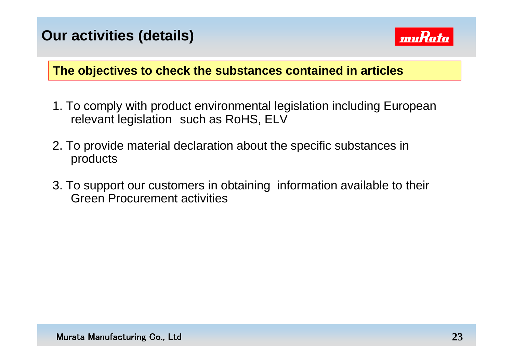

### **The objectives to check the substances contained in articles**

- 1. To comply with product environmental legislation including European relevant legislation such as RoHS, ELV
- 2. To provide material declaration about the specific substances in products
- 3. To support our customers in obtaining information available to their Green Procurement activities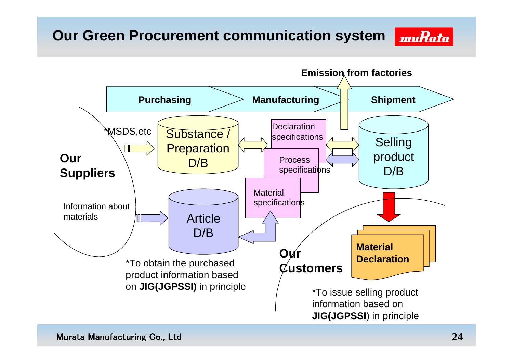### **Our Green Procurement communication system**



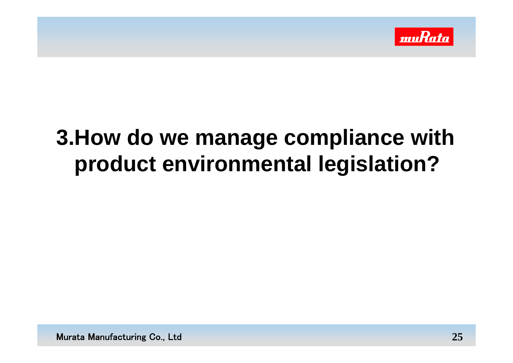

## **3.How do we manage compliance with product environmental legislation?**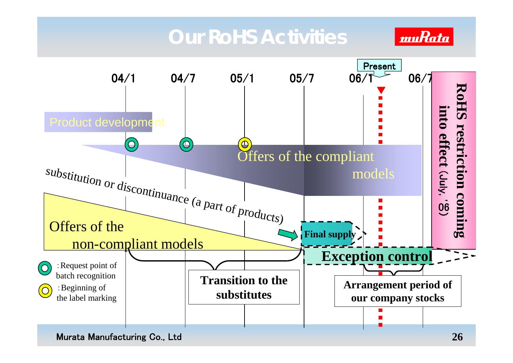## **Our RoHS Activities**





Murata Manufacturing Co., Ltd **26**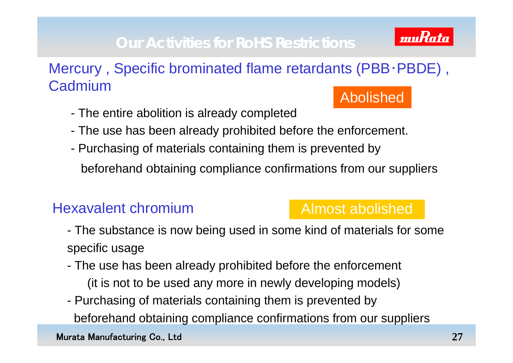### **Our Activities for RoHS Restrictions**



- The entire abolition is already completed
- The use has been already prohibited before the enforcement.
- Purchasing of materials containing them is prevented by beforehand <sup>o</sup>btaining compliance confirmations from our suppliers

### Hexavalent chromium

### Almost abolished

- The substance is now being used in some kind of materials for some specific usage
- The use has been already prohibited before the enforcement (it is not to be used any more in newly developing models)
- Purchasing of materials containing them is prevented by beforehand obtaining compliance confirmations from our suppliers

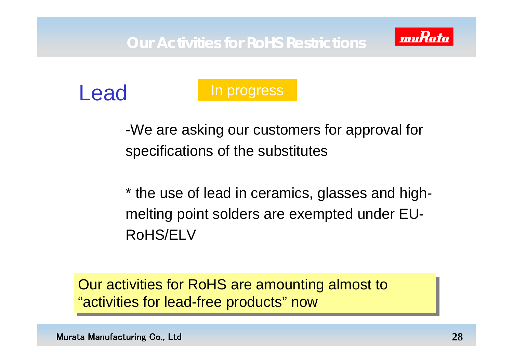



### In progress

-We are asking our customers for approval for specifications of the substitutes

\* the use of lead in ceramics, glasses and highmelting point solders are exempted under EU-RoHS/ELV

Our activities for RoHS are amounting almost to Our activities for RoHS are amounting almost to "activities for lead-free products" now "activities for lead-free products" now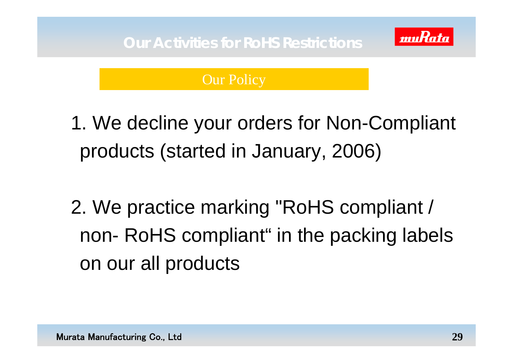

### Our Policy

1. We decline your orders for Non-Compliant products (started in January, 2006)

2. We practice marking "RoHS compliant / non- RoHS compliant" in the packing labels on our all products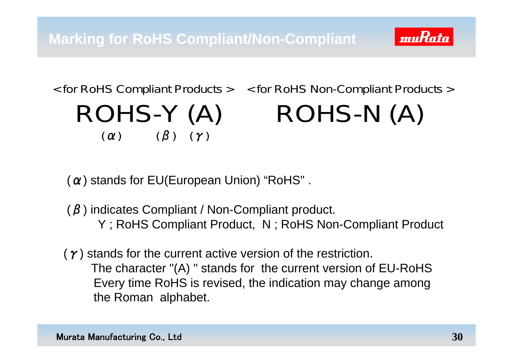

## < for RoHS Compliant Products > ROHS-Y (A)  $(\alpha)$   $(\beta)$   $(\gamma)$

< for RoHS Non-Compliant Products > ROHS-N (A)

 $(\alpha)$  stands for EU(European Union) "RoHS".

 $(\beta)$  indicates Compliant / Non-Compliant product. Y ; RoHS Compliant Product, N ; RoHS Non-Compliant Product

 $(\gamma)$  stands for the current active version of the restriction. The character "(A) " stands for the current version of EU-RoHS Every time RoHS is revised, the indication may change among the Roman alphabet.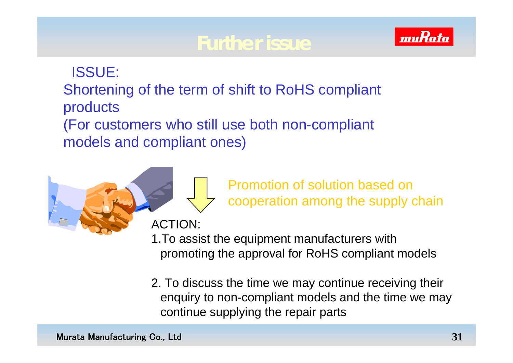## **Further issue**



ISSUE: Shortening of the term of shift to RoHS compliant products (For customers who still use both non-compliant models and compliant ones)

> Promotion of solution based on cooperation among the supply chain

ACTION:

1.To assist the equipment manufacturers with promoting the approval for RoHS compliant models

2. To discuss the time we may continue receiving their enquiry to non-compliant models and the time we may continue supplying the repair parts